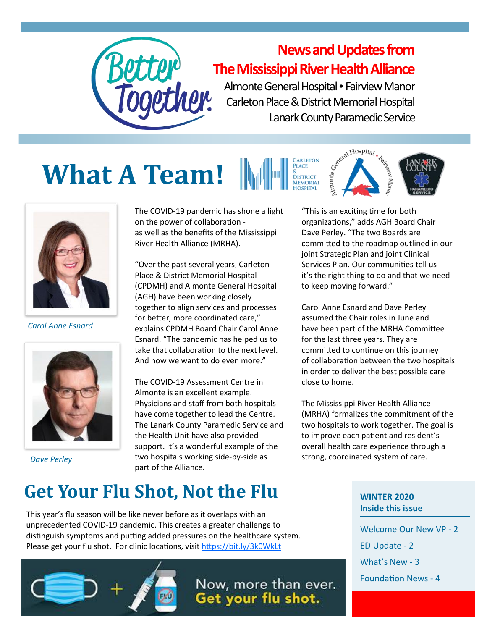

#### **News and Updates from The Mississippi River Health Alliance**

Almonte General Hospital • Fairview Manor Carleton Place & District Memorial Hospital Lanark County Paramedic Service





*Carol Anne Esnard*



*Dave Perley*

The COVID-19 pandemic has shone a light on the power of collaboration as well as the benefits of the Mississippi River Health Alliance (MRHA).

"Over the past several years, Carleton Place & District Memorial Hospital (CPDMH) and Almonte General Hospital (AGH) have been working closely together to align services and processes for better, more coordinated care," explains CPDMH Board Chair Carol Anne Esnard. "The pandemic has helped us to take that collaboration to the next level. And now we want to do even more."

The COVID-19 Assessment Centre in Almonte is an excellent example. Physicians and staff from both hospitals have come together to lead the Centre. The Lanark County Paramedic Service and the Health Unit have also provided support. It's a wonderful example of the two hospitals working side-by-side as part of the Alliance.

"This is an exciting time for both organizations," adds AGH Board Chair Dave Perley. "The two Boards are committed to the roadmap outlined in our joint Strategic Plan and joint Clinical Services Plan. Our communities tell us it's the right thing to do and that we need to keep moving forward."

Carol Anne Esnard and Dave Perley assumed the Chair roles in June and have been part of the MRHA Committee for the last three years. They are committed to continue on this journey of collaboration between the two hospitals in order to deliver the best possible care close to home.

The Mississippi River Health Alliance (MRHA) formalizes the commitment of the two hospitals to work together. The goal is to improve each patient and resident's overall health care experience through a strong, coordinated system of care.

## **Get Your Flu Shot, Not the Flu**

This year's flu season will be like never before as it overlaps with an unprecedented COVID-19 pandemic. This creates a greater challenge to distinguish symptoms and putting added pressures on the healthcare system. Please get your flu shot. For clinic locations, visit <https://bit.ly/3k0WkLt>



Now, more than ever. Get your flu shot.

**WINTER 2020 Inside this issue**

Welcome Our New VP - 2 ED Update - 2 What's New - 3 Foundation News - 4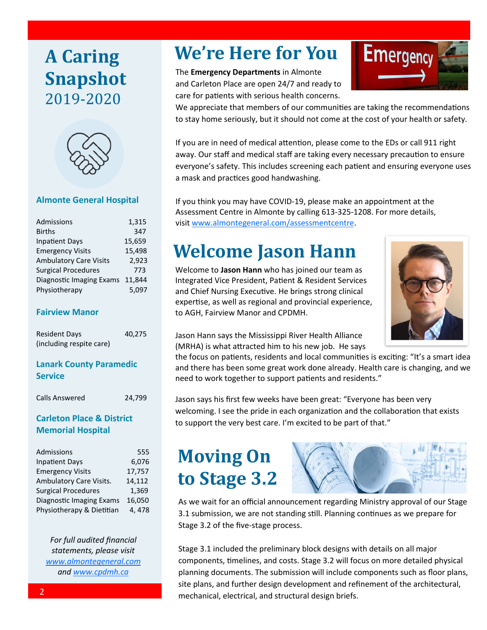#### **A Caring Snapshot** 2019-2020



#### **Almonte General Hospital**

| 1,315                           |
|---------------------------------|
| 347                             |
| 15,659                          |
| 15,498                          |
| 2.923                           |
| 773                             |
| Diagnostic Imaging Exams 11,844 |
| 5.097                           |
|                                 |

#### **Fairview Manor**

| <b>Resident Days</b>     | 40,275 |
|--------------------------|--------|
| (including respite care) |        |

#### **Lanark County Paramedic Service**

Calls Answered 24,799

#### **Carleton Place & District Memorial Hospital**

| Admissions                 | 555    |
|----------------------------|--------|
| <b>Inpatient Days</b>      | 6,076  |
| <b>Emergency Visits</b>    | 17,757 |
| Ambulatory Care Visits.    | 14,112 |
| <b>Surgical Procedures</b> | 1,369  |
| Diagnostic Imaging Exams   | 16,050 |
| Physiotherapy & Dietitian  | 4,478  |
|                            |        |

*For full audited financial statements, please visit [www.almontegeneral.com](http://www.almontegeneral.com) and [www.cpdmh.ca](http://www.cpdmh.ca)*

#### **We're Here for You**

The **Emergency Departments** in Almonte and Carleton Place are open 24/7 and ready to care for patients with serious health concerns.



We appreciate that members of our communities are taking the recommendations to stay home seriously, but it should not come at the cost of your health or safety.

If you are in need of medical attention, please come to the EDs or call 911 right away. Our staff and medical staff are taking every necessary precaution to ensure everyone's safety. This includes screening each patient and ensuring everyone uses a mask and practices good handwashing.

If you think you may have COVID-19, please make an appointment at the Assessment Centre in Almonte by calling 613-325-1208. For more details, visit [www.almontegeneral.com/assessmentcentre.](http://www.almontegeneral.com/assessmentcentre)

## **Welcome Jason Hann**



Welcome to **Jason Hann** who has joined our team as Integrated Vice President, Patient & Resident Services and Chief Nursing Executive. He brings strong clinical expertise, as well as regional and provincial experience, to AGH, Fairview Manor and CPDMH.

Jason Hann says the Mississippi River Health Alliance (MRHA) is what attracted him to his new job. He says

the focus on patients, residents and local communities is exciting: "It's a smart idea and there has been some great work done already. Health care is changing, and we need to work together to support patients and residents."

Jason says his first few weeks have been great: "Everyone has been very welcoming. I see the pride in each organization and the collaboration that exists to support the very best care. I'm excited to be part of that."

## **Moving On to Stage 3.2**



As we wait for an official announcement regarding Ministry approval of our Stage 3.1 submission, we are not standing still. Planning continues as we prepare for Stage 3.2 of the five-stage process.

Stage 3.1 included the preliminary block designs with details on all major components, timelines, and costs. Stage 3.2 will focus on more detailed physical planning documents. The submission will include components such as floor plans, site plans, and further design development and refinement of the architectural, mechanical, electrical, and structural design briefs.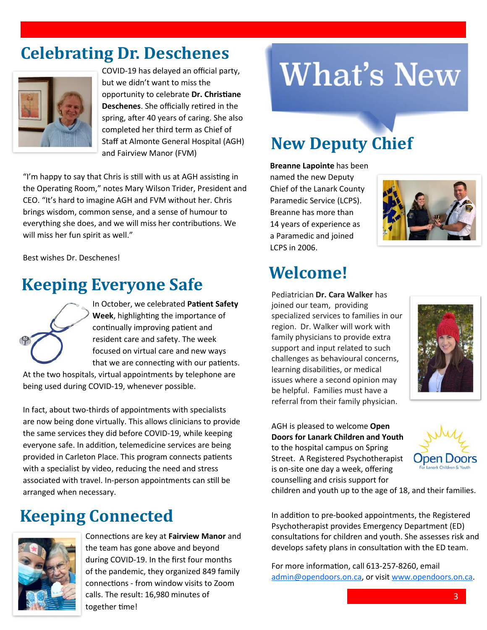### **Celebrating Dr. Deschenes**



COVID-19 has delayed an official party, but we didn't want to miss the opportunity to celebrate **Dr. Christiane Deschenes**. She officially retired in the spring, after 40 years of caring. She also completed her third term as Chief of Staff at Almonte General Hospital (AGH) and Fairview Manor (FVM)

"I'm happy to say that Chris is still with us at AGH assisting in the Operating Room," notes Mary Wilson Trider, President and CEO. "It's hard to imagine AGH and FVM without her. Chris brings wisdom, common sense, and a sense of humour to everything she does, and we will miss her contributions. We will miss her fun spirit as well."

Best wishes Dr. Deschenes!

# **Welcome! Keeping Everyone Safe**



In October, we celebrated **Patient Safety Week**, highlighting the importance of continually improving patient and resident care and safety. The week focused on virtual care and new ways that we are connecting with our patients.

At the two hospitals, virtual appointments by telephone are being used during COVID-19, whenever possible.

In fact, about two-thirds of appointments with specialists are now being done virtually. This allows clinicians to provide the same services they did before COVID-19, while keeping everyone safe. In addition, telemedicine services are being provided in Carleton Place. This program connects patients with a specialist by video, reducing the need and stress associated with travel. In-person appointments can still be arranged when necessary.

#### **Keeping Connected**



Connections are key at **Fairview Manor** and the team has gone above and beyond during COVID-19. In the first four months of the pandemic, they organized 849 family connections - from window visits to Zoom calls. The result: 16,980 minutes of together time!

# **What's New**

#### **New Deputy Chief**

**Breanne Lapointe** has been named the new Deputy Chief of the Lanark County Paramedic Service (LCPS). Breanne has more than 14 years of experience as a Paramedic and joined LCPS in 2006.



Pediatrician **Dr. Cara Walker** has joined our team, providing specialized services to families in our region. Dr. Walker will work with family physicians to provide extra support and input related to such challenges as behavioural concerns, learning disabilities, or medical issues where a second opinion may be helpful. Families must have a referral from their family physician.



AGH is pleased to welcome **Open Doors for Lanark Children and Youth** to the hospital campus on Spring Street. A Registered Psychotherapist is on-site one day a week, offering counselling and crisis support for



children and youth up to the age of 18, and their families.

In addition to pre-booked appointments, the Registered Psychotherapist provides Emergency Department (ED) consultations for children and youth. She assesses risk and develops safety plans in consultation with the ED team.

For more information, call 613-257-8260, email [admin@opendoors.on.ca,](mailto:admin@opendoors.ca) or visit [www.opendoors.on.ca.](http://www.opendoors.on.ca)